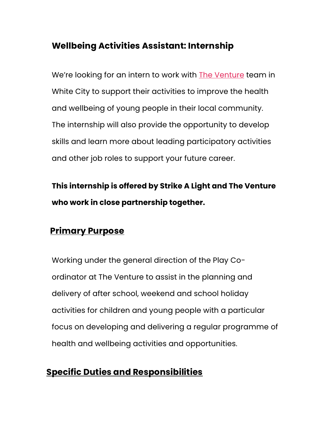# **Wellbeing Activities Assistant: Internship**

We're looking for an intern to work with The Venture team in White City to support their activities to improve the health and wellbeing of young people in their local community. The internship will also provide the opportunity to develop skills and learn more about leading participatory activities and other job roles to support your future career.

**This internship is offered by Strike A Light and The Venture who work in close partnership together.**

#### **Primary Purpose**

Working under the general direction of the Play Coordinator at The Venture to assist in the planning and delivery of after school, weekend and school holiday activities for children and young people with a particular focus on developing and delivering a regular programme of health and wellbeing activities and opportunities.

## **Specific Duties and Responsibilities**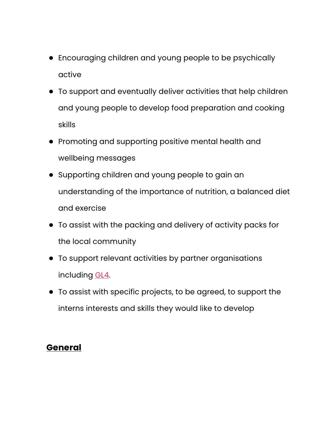- Encouraging children and young people to be psychically active
- To support and eventually deliver activities that help children and young people to develop food preparation and cooking skills
- Promoting and supporting positive mental health and wellbeing messages
- Supporting children and young people to gain an understanding of the importance of nutrition, a balanced diet and exercise
- To assist with the packing and delivery of activity packs for the local community
- To support relevant activities by partner organisations including GL4.
- To assist with specific projects, to be agreed, to support the interns interests and skills they would like to develop

# **General**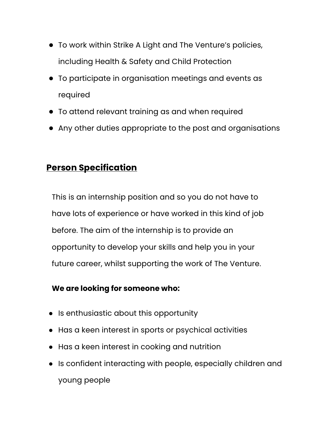- To work within Strike A Light and The Venture's policies, including Health & Safety and Child Protection
- To participate in organisation meetings and events as required
- To attend relevant training as and when required
- Any other duties appropriate to the post and organisations

## **Person Specification**

This is an internship position and so you do not have to have lots of experience or have worked in this kind of job before. The aim of the internship is to provide an opportunity to develop your skills and help you in your future career, whilst supporting the work of The Venture.

#### **We are looking for someone who:**

- Is enthusiastic about this opportunity
- Has a keen interest in sports or psychical activities
- Has a keen interest in cooking and nutrition
- Is confident interacting with people, especially children and young people